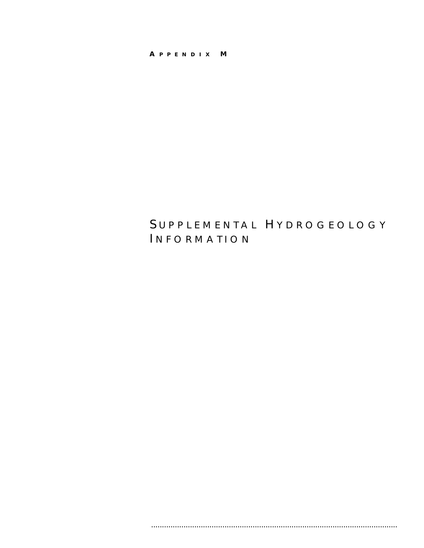## A P P E N D I X M

# SUPPLEMENTAL HYDROGEOLOGY INFORMATION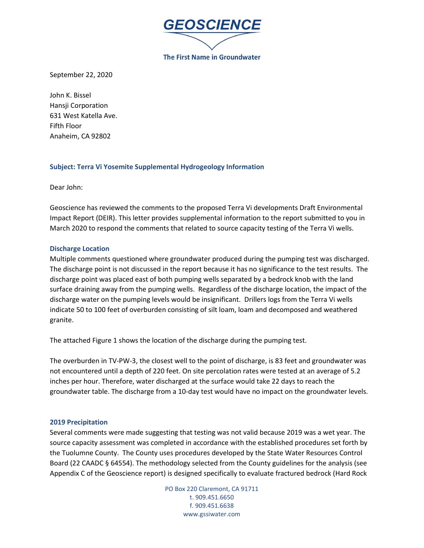

September 22, 2020

John K. Bissel Hansji Corporation 631 West Katella Ave. Fifth Floor Anaheim, CA 92802

## **Subject: Terra Vi Yosemite Supplemental Hydrogeology Information**

Dear John:

Geoscience has reviewed the comments to the proposed Terra Vi developments Draft Environmental Impact Report (DEIR). This letter provides supplemental information to the report submitted to you in March 2020 to respond the comments that related to source capacity testing of the Terra Vi wells.

## **Discharge Location**

Multiple comments questioned where groundwater produced during the pumping test was discharged. The discharge point is not discussed in the report because it has no significance to the test results. The discharge point was placed east of both pumping wells separated by a bedrock knob with the land surface draining away from the pumping wells. Regardless of the discharge location, the impact of the discharge water on the pumping levels would be insignificant. Drillers logs from the Terra Vi wells indicate 50 to 100 feet of overburden consisting of silt loam, loam and decomposed and weathered granite.

The attached Figure 1 shows the location of the discharge during the pumping test.

The overburden in TV-PW-3, the closest well to the point of discharge, is 83 feet and groundwater was not encountered until a depth of 220 feet. On site percolation rates were tested at an average of 5.2 inches per hour. Therefore, water discharged at the surface would take 22 days to reach the groundwater table. The discharge from a 10-day test would have no impact on the groundwater levels.

## **2019 Precipitation**

Several comments were made suggesting that testing was not valid because 2019 was a wet year. The source capacity assessment was completed in accordance with the established procedures set forth by the Tuolumne County. The County uses procedures developed by the State Water Resources Control Board (22 CAADC § 64554). The methodology selected from the County guidelines for the analysis (see Appendix C of the Geoscience report) is designed specifically to evaluate fractured bedrock (Hard Rock

> PO Box 220 Claremont, CA 91711 t. 909.451.6650 f. 909.451.6638 www.gssiwater.com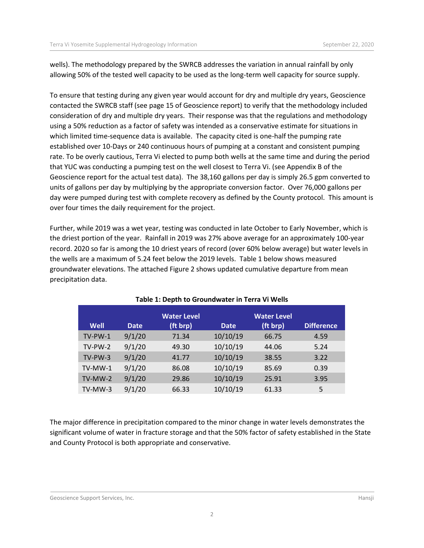wells). The methodology prepared by the SWRCB addresses the variation in annual rainfall by only allowing 50% of the tested well capacity to be used as the long-term well capacity for source supply.

To ensure that testing during any given year would account for dry and multiple dry years, Geoscience contacted the SWRCB staff (see page 15 of Geoscience report) to verify that the methodology included consideration of dry and multiple dry years. Their response was that the regulations and methodology using a 50% reduction as a factor of safety was intended as a conservative estimate for situations in which limited time-sequence data is available. The capacity cited is one-half the pumping rate established over 10-Days or 240 continuous hours of pumping at a constant and consistent pumping rate. To be overly cautious, Terra Vi elected to pump both wells at the same time and during the period that YUC was conducting a pumping test on the well closest to Terra Vi. (see Appendix B of the Geoscience report for the actual test data). The 38,160 gallons per day is simply 26.5 gpm converted to units of gallons per day by multiplying by the appropriate conversion factor. Over 76,000 gallons per day were pumped during test with complete recovery as defined by the County protocol. This amount is over four times the daily requirement for the project.

Further, while 2019 was a wet year, testing was conducted in late October to Early November, which is the driest portion of the year. Rainfall in 2019 was 27% above average for an approximately 100-year record. 2020 so far is among the 10 driest years of record (over 60% below average) but water levels in the wells are a maximum of 5.24 feet below the 2019 levels. Table 1 below shows measured groundwater elevations. The attached Figure 2 shows updated cumulative departure from mean precipitation data.

|            |             | <b>Water Level</b> |             | <b>Water Level</b> |                   |
|------------|-------------|--------------------|-------------|--------------------|-------------------|
| Well       | <b>Date</b> | (ft brp)           | <b>Date</b> | (ft brp)           | <b>Difference</b> |
| $TV$ -PW-1 | 9/1/20      | 71.34              | 10/10/19    | 66.75              | 4.59              |
| TV-PW-2    | 9/1/20      | 49.30              | 10/10/19    | 44.06              | 5.24              |
| $TV-PW-3$  | 9/1/20      | 41.77              | 10/10/19    | 38.55              | 3.22              |
| TV-MW-1    | 9/1/20      | 86.08              | 10/10/19    | 85.69              | 0.39              |
| TV-MW-2    | 9/1/20      | 29.86              | 10/10/19    | 25.91              | 3.95              |
| TV-MW-3    | 9/1/20      | 66.33              | 10/10/19    | 61.33              | 5                 |

## **Table 1: Depth to Groundwater in Terra Vi Wells**

The major difference in precipitation compared to the minor change in water levels demonstrates the significant volume of water in fracture storage and that the 50% factor of safety established in the State and County Protocol is both appropriate and conservative.

#### Geoscience Support Services, Inc. **Hansii**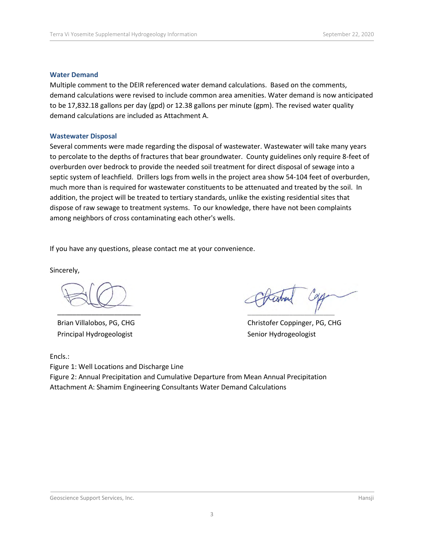### **Water Demand**

Multiple comment to the DEIR referenced water demand calculations. Based on the comments, demand calculations were revised to include common area amenities. Water demand is now anticipated to be 17,832.18 gallons per day (gpd) or 12.38 gallons per minute (gpm). The revised water quality demand calculations are included as Attachment A.

### **Wastewater Disposal**

Several comments were made regarding the disposal of wastewater. Wastewater will take many years to percolate to the depths of fractures that bear groundwater. County guidelines only require 8-feet of overburden over bedrock to provide the needed soil treatment for direct disposal of sewage into a septic system of leachfield. Drillers logs from wells in the project area show 54-104 feet of overburden, much more than is required for wastewater constituents to be attenuated and treated by the soil. In addition, the project will be treated to tertiary standards, unlike the existing residential sites that dispose of raw sewage to treatment systems. To our knowledge, there have not been complaints among neighbors of cross contaminating each other's wells.

If you have any questions, please contact me at your convenience.

Sincerely,

 $\overline{\phantom{a}}$  , and the set of the set of the set of the set of the set of the set of the set of the set of the set of the set of the set of the set of the set of the set of the set of the set of the set of the set of the s

Brian Villalobos, PG, CHG Principal Hydrogeologist

Encls.:

 $\mathcal{L}$ 

Christofer Coppinger, PG, CHG Senior Hydrogeologist

Figure 1: Well Locations and Discharge Line Figure 2: Annual Precipitation and Cumulative Departure from Mean Annual Precipitation Attachment A: Shamim Engineering Consultants Water Demand Calculations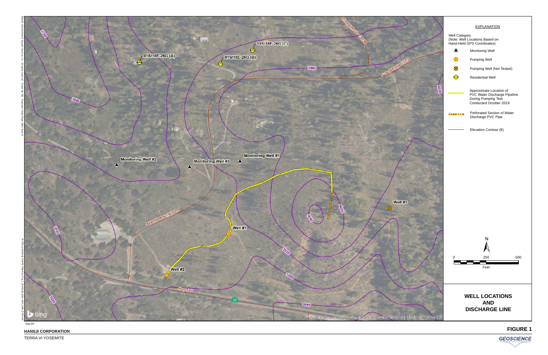

TERRA VI YOSEMITE

**HANSJI CORPORATION**

·



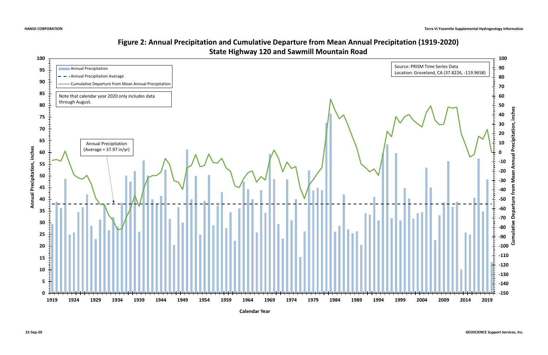

## **Figure 2: Annual Precipitation and Cumulative Departure from Mean Annual Precipitation (1919-2020) State Highway 120 and Sawmill Mountain Road**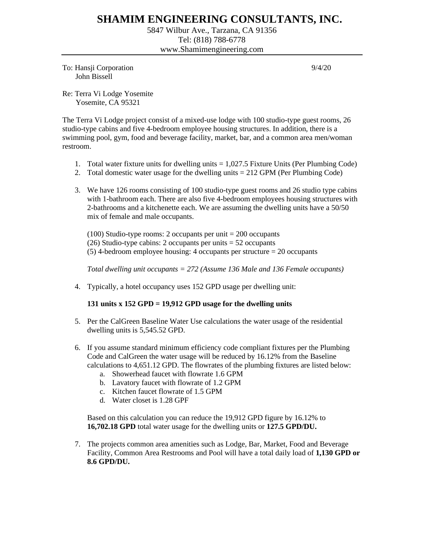## **SHAMIM ENGINEERING CONSULTANTS, INC.**

5847 Wilbur Ave., Tarzana, CA 91356 Tel: (818) 788-6778 www.Shamimengineering.com

To: Hansji Corporation 9/4/20 John Bissell

Re: Terra Vi Lodge Yosemite Yosemite, CA 95321

I

The Terra Vi Lodge project consist of a mixed-use lodge with 100 studio-type guest rooms, 26 studio-type cabins and five 4-bedroom employee housing structures. In addition, there is a swimming pool, gym, food and beverage facility, market, bar, and a common area men/woman restroom.

- 1. Total water fixture units for dwelling units = 1,027.5 Fixture Units (Per Plumbing Code)
- 2. Total domestic water usage for the dwelling units = 212 GPM (Per Plumbing Code)
- 3. We have 126 rooms consisting of 100 studio-type guest rooms and 26 studio type cabins with 1-bathroom each. There are also five 4-bedroom employees housing structures with 2-bathrooms and a kitchenette each. We are assuming the dwelling units have a 50/50 mix of female and male occupants.

 $(100)$  Studio-type rooms: 2 occupants per unit = 200 occupants (26) Studio-type cabins: 2 occupants per units  $= 52$  occupants  $(5)$  4-bedroom employee housing: 4 occupants per structure = 20 occupants

*Total dwelling unit occupants = 272 (Assume 136 Male and 136 Female occupants)* 

4. Typically, a hotel occupancy uses 152 GPD usage per dwelling unit:

## **131 units x 152 GPD = 19,912 GPD usage for the dwelling units**

- 5. Per the CalGreen Baseline Water Use calculations the water usage of the residential dwelling units is 5,545.52 GPD.
- 6. If you assume standard minimum efficiency code compliant fixtures per the Plumbing Code and CalGreen the water usage will be reduced by 16.12% from the Baseline calculations to 4,651.12 GPD. The flowrates of the plumbing fixtures are listed below:
	- a. Showerhead faucet with flowrate 1.6 GPM
	- b. Lavatory faucet with flowrate of 1.2 GPM
	- c. Kitchen faucet flowrate of 1.5 GPM
	- d. Water closet is 1.28 GPF

Based on this calculation you can reduce the 19,912 GPD figure by 16.12% to **16,702.18 GPD** total water usage for the dwelling units or **127.5 GPD/DU.**

7. The projects common area amenities such as Lodge, Bar, Market, Food and Beverage Facility, Common Area Restrooms and Pool will have a total daily load of **1,130 GPD or 8.6 GPD/DU.**